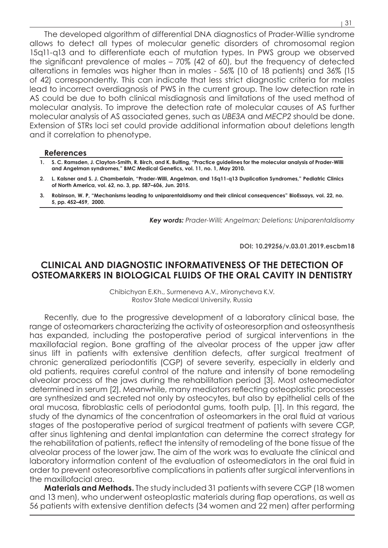The developed algorithm of differential DNA diagnostics of Prader-Willie syndrome allows to detect all types of molecular genetic disorders of chromosomal region 15q11-q13 and to differentiate each of mutation types. In PWS group we observed the significant prevalence of males – 70% (42 of 60), but the frequency of detected alterations in females was higher than in males - 56% (10 of 18 patients) and 36% (15 of 42) correspondently. This can indicate that less strict diagnostic criteria for males lead to incorrect overdiagnosis of PWS in the current group. The low detection rate in AS could be due to both clinical misdiagnosis and limitations of the used method of molecular analysis. To improve the detection rate of molecular causes of AS further molecular analysis of AS associated genes, such as *UBE3A* and *MECP2* should be done. Extension of STRs loci set could provide additional information about deletions length and it correlation to phenotype.

## **References**

- **1. S. C. Ramsden, J. Clayton-Smith, R. Birch, and K. Buiting, "Practice guidelines for the molecular analysis of Prader-Willi and Angelman syndromes," BMC Medical Genetics, vol. 11, no. 1, May 2010.**
- **2. L. Kalsner and S. J. Chamberlain, "Prader-Willi, Angelman, and 15q11-q13 Duplication Syndromes," Pediatric Clinics of North America, vol. 62, no. 3, pp. 587–606, Jun. 2015.**
- **3. Robinson, W. P, "Mechanisms leading to uniparentaldisomy and their clinical consequences" BioEssays, vol. 22, no. 5, pp. 452–459, 2000.**

*Key words: Prader-Willi; Angelman; Deletions; Uniparentaldisomy*

**DOI: 10.29256/v.03.01.2019.escbm18**

## **CLINICAL AND DIAGNOSTIC INFORMATIVENESS OF THE DETECTION OF OSTEOMARKERS IN BIOLOGICAL FLUIDS OF THE ORAL CAVITY IN DENTISTRY**

Chibichyan E.Kh., Surmeneva A.V., Mironycheva K.V. Rostov State Medical University, Russia

Recently, due to the progressive development of a laboratory clinical base, the range of osteomarkers characterizing the activity of osteoresorption and osteosynthesis has expanded, including the postoperative period of surgical interventions in the maxillofacial region. Bone grafting of the alveolar process of the upper jaw after sinus lift in patients with extensive dentition defects, after surgical treatment of chronic generalized periodontitis (CGP) of severe severity, especially in elderly and old patients, requires careful control of the nature and intensity of bone remodeling alveolar process of the jaws during the rehabilitation period [3]. Most osteomediator determined in serum [2]. Meanwhile, many mediators reflecting osteoplastic processes are synthesized and secreted not only by osteocytes, but also by epithelial cells of the oral mucosa, fibroblastic cells of periodontal gums, tooth pulp, [1]. In this regard, the study of the dynamics of the concentration of osteomarkers in the oral fluid at various stages of the postoperative period of surgical treatment of patients with severe CGP, after sinus lightening and dental implantation can determine the correct strategy for the rehabilitation of patients, reflect the intensity of remodeling of the bone tissue of the alveolar process of the lower jaw. The aim of the work was to evaluate the clinical and laboratory information content of the evaluation of osteomediators in the oral fluid in order to prevent osteoresorbtive complications in patients after surgical interventions in the maxillofacial area.

**Materials and Methods.** The study included 31 patients with severe CGP (18 women and 13 men), who underwent osteoplastic materials during flap operations, as well as 56 patients with extensive dentition defects (34 women and 22 men) after performing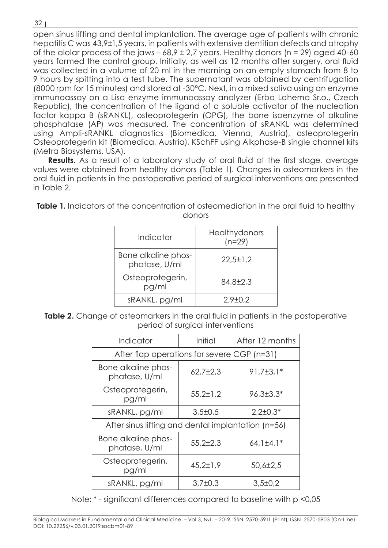open sinus lifting and dental implantation. The average age of patients with chronic hepatitis C was 43,9±1,5 years, in patients with extensive dentition defects and atrophy of the alolar process of the jaws –  $68.9 \pm 2.7$  years. Healthy donors (n = 29) aged 40-60 years formed the control group. Initially, as well as 12 months after surgery, oral fluid was collected in a volume of 20 ml in the morning on an empty stomach from 8 to 9 hours by spitting into a test tube. The supernatant was obtained by centrifugation (8000 rpm for 15 minutes) and stored at -30ºС. Next, in a mixed saliva using an enzyme immunoassay on a Lisa enzyme immunoassay analyzer (Erba Lahema Sr.o., Czech Republic), the concentration of the ligand of a soluble activator of the nucleation factor kappa B (sRANKL), osteoprotegerin (OPG), the bone isoenzyme of alkaline phosphatase (AP) was measured. The concentration of sRANKL was determined using Ampli-sRANKL diagnostics (Biomedica, Vienna, Austria), osteoprotegerin Osteoprotegerin kit (Biomedica, Austria), KSchFF using Alkphase-B single channel kits (Metra Biosystems, USA).

**Results.** As a result of a laboratory study of oral fluid at the first stage, average values were obtained from healthy donors (Table 1). Changes in osteomarkers in the oral fluid in patients in the postoperative period of surgical interventions are presented in Table 2.

**Table 1.** Indicators of the concentration of osteomediation in the oral fluid to healthy donors

| Indicator                            | Healthydonors<br>$(n=29)$ |  |
|--------------------------------------|---------------------------|--|
| Bone alkaline phos-<br>phatase, U/ml | $22.5 \pm 1.2$            |  |
| Osteoprotegerin,<br>pg/ml            | $84,8{\pm}2,3$            |  |
| sRANKL, pg/ml                        | $2,9 \pm 0,2$             |  |

**Table 2.** Change of osteomarkers in the oral fluid in patients in the postoperative period of surgical interventions

| Indicator                                          | Initial        | After 12 months  |  |
|----------------------------------------------------|----------------|------------------|--|
| After flap operations for severe CGP (n=31)        |                |                  |  |
| Bone alkaline phos-<br>phatase, U/ml               | $62,7\pm2,3$   | $91,7\pm3,1*$    |  |
| Osteoprotegerin,<br>pg/ml                          | $55,2 \pm 1,2$ | $96,3 \pm 3,3^*$ |  |
| sRANKL, pg/ml                                      | $3,5\pm0,5$    | $2,2\pm0,3*$     |  |
| After sinus lifting and dental implantation (n=56) |                |                  |  |
| Bone alkaline phos-<br>phatase, U/ml               | $55,2{\pm}2,3$ | $64,1\pm4,1*$    |  |
| Osteoprotegerin,<br>pg/ml                          | $45,2 \pm 1,9$ | $50,6\pm2,5$     |  |
| sRANKL, pg/ml                                      | $3,7\pm0,3$    | $3,5\pm0.2$      |  |

Note: \* - significant differences compared to baseline with p <0,05

Biological Markers in Fundamental and Clinical Medicine. – Vol.3, №1. – 2019. ISSN 2570-5911 (Print); ISSN 2570-5903 (On-Line) DOI: 10.29256/v.03.01.2019.escbm01-89